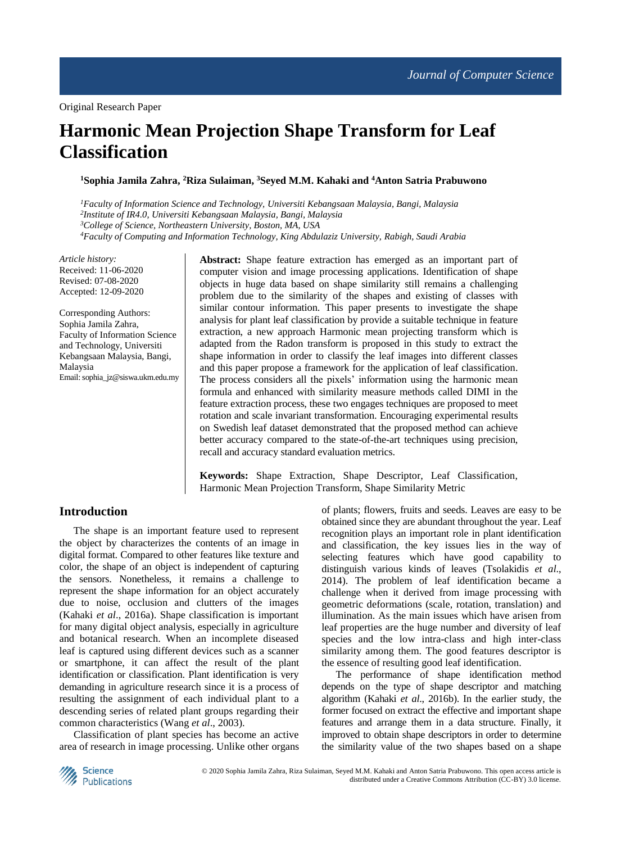# **Harmonic Mean Projection Shape Transform for Leaf Classification**

**<sup>1</sup>Sophia Jamila Zahra, <sup>2</sup>Riza Sulaiman, <sup>3</sup>Seyed M.M. Kahaki and <sup>4</sup>Anton Satria Prabuwono**

*Faculty of Information Science and Technology, Universiti Kebangsaan Malaysia, Bangi, Malaysia Institute of IR4.0, Universiti Kebangsaan Malaysia, Bangi, Malaysia College of Science, Northeastern University, Boston, MA, USA Faculty of Computing and Information Technology, King Abdulaziz University, Rabigh, Saudi Arabia*

*Article history:* Received: 11-06-2020 Revised: 07-08-2020 Accepted: 12-09-2020

Corresponding Authors: Sophia Jamila Zahra, Faculty of Information Science and Technology, Universiti Kebangsaan Malaysia, Bangi, Malaysia Email: sophia\_jz@siswa.ukm.edu.my **Abstract:** Shape feature extraction has emerged as an important part of computer vision and image processing applications. Identification of shape objects in huge data based on shape similarity still remains a challenging problem due to the similarity of the shapes and existing of classes with similar contour information. This paper presents to investigate the shape analysis for plant leaf classification by provide a suitable technique in feature extraction, a new approach Harmonic mean projecting transform which is adapted from the Radon transform is proposed in this study to extract the shape information in order to classify the leaf images into different classes and this paper propose a framework for the application of leaf classification. The process considers all the pixels' information using the harmonic mean formula and enhanced with similarity measure methods called DIMI in the feature extraction process, these two engages techniques are proposed to meet rotation and scale invariant transformation. Encouraging experimental results on Swedish leaf dataset demonstrated that the proposed method can achieve better accuracy compared to the state-of-the-art techniques using precision, recall and accuracy standard evaluation metrics.

**Keywords:** Shape Extraction, Shape Descriptor, Leaf Classification, Harmonic Mean Projection Transform, Shape Similarity Metric

## **Introduction**

The shape is an important feature used to represent the object by characterizes the contents of an image in digital format. Compared to other features like texture and color, the shape of an object is independent of capturing the sensors. Nonetheless, it remains a challenge to represent the shape information for an object accurately due to noise, occlusion and clutters of the images (Kahaki *et al*., 2016a). Shape classification is important for many digital object analysis, especially in agriculture and botanical research. When an incomplete diseased leaf is captured using different devices such as a scanner or smartphone, it can affect the result of the plant identification or classification. Plant identification is very demanding in agriculture research since it is a process of resulting the assignment of each individual plant to a descending series of related plant groups regarding their common characteristics (Wang *et al*., 2003).

Classification of plant species has become an active area of research in image processing. Unlike other organs of plants; flowers, fruits and seeds. Leaves are easy to be obtained since they are abundant throughout the year. Leaf recognition plays an important role in plant identification and classification, the key issues lies in the way of selecting features which have good capability to distinguish various kinds of leaves (Tsolakidis *et al*., 2014). The problem of leaf identification became a challenge when it derived from image processing with geometric deformations (scale, rotation, translation) and illumination. As the main issues which have arisen from leaf properties are the huge number and diversity of leaf species and the low intra-class and high inter-class similarity among them. The good features descriptor is the essence of resulting good leaf identification.

The performance of shape identification method depends on the type of shape descriptor and matching algorithm (Kahaki *et al*., 2016b). In the earlier study, the former focused on extract the effective and important shape features and arrange them in a data structure. Finally, it improved to obtain shape descriptors in order to determine the similarity value of the two shapes based on a shape

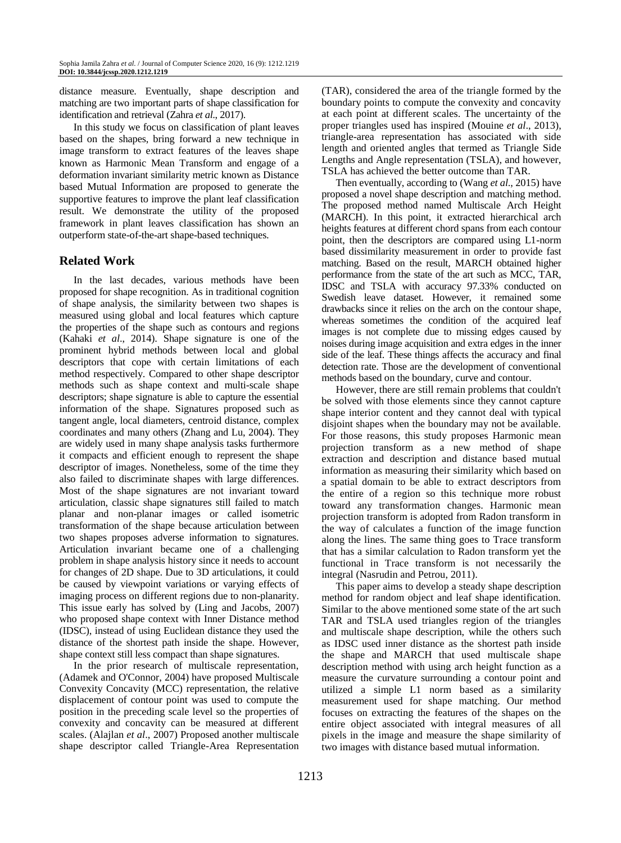distance measure. Eventually, shape description and matching are two important parts of shape classification for identification and retrieval (Zahra *et al*., 2017).

In this study we focus on classification of plant leaves based on the shapes, bring forward a new technique in image transform to extract features of the leaves shape known as Harmonic Mean Transform and engage of a deformation invariant similarity metric known as Distance based Mutual Information are proposed to generate the supportive features to improve the plant leaf classification result. We demonstrate the utility of the proposed framework in plant leaves classification has shown an outperform state-of-the-art shape-based techniques.

## **Related Work**

In the last decades, various methods have been proposed for shape recognition. As in traditional cognition of shape analysis, the similarity between two shapes is measured using global and local features which capture the properties of the shape such as contours and regions (Kahaki *et al*., 2014). Shape signature is one of the prominent hybrid methods between local and global descriptors that cope with certain limitations of each method respectively. Compared to other shape descriptor methods such as shape context and multi-scale shape descriptors; shape signature is able to capture the essential information of the shape. Signatures proposed such as tangent angle, local diameters, centroid distance, complex coordinates and many others (Zhang and Lu, 2004). They are widely used in many shape analysis tasks furthermore it compacts and efficient enough to represent the shape descriptor of images. Nonetheless, some of the time they also failed to discriminate shapes with large differences. Most of the shape signatures are not invariant toward articulation, classic shape signatures still failed to match planar and non-planar images or called isometric transformation of the shape because articulation between two shapes proposes adverse information to signatures. Articulation invariant became one of a challenging problem in shape analysis history since it needs to account for changes of 2D shape. Due to 3D articulations, it could be caused by viewpoint variations or varying effects of imaging process on different regions due to non-planarity. This issue early has solved by (Ling and Jacobs, 2007) who proposed shape context with Inner Distance method (IDSC), instead of using Euclidean distance they used the distance of the shortest path inside the shape. However, shape context still less compact than shape signatures.

In the prior research of multiscale representation, (Adamek and O'Connor, 2004) have proposed Multiscale Convexity Concavity (MCC) representation, the relative displacement of contour point was used to compute the position in the preceding scale level so the properties of convexity and concavity can be measured at different scales. (Alajlan *et al*., 2007) Proposed another multiscale shape descriptor called Triangle-Area Representation (TAR), considered the area of the triangle formed by the boundary points to compute the convexity and concavity at each point at different scales. The uncertainty of the proper triangles used has inspired (Mouine *et al*., 2013), triangle-area representation has associated with side length and oriented angles that termed as Triangle Side Lengths and Angle representation (TSLA), and however, TSLA has achieved the better outcome than TAR.

Then eventually, according to (Wang *et al*., 2015) have proposed a novel shape description and matching method. The proposed method named Multiscale Arch Height (MARCH). In this point, it extracted hierarchical arch heights features at different chord spans from each contour point, then the descriptors are compared using L1-norm based dissimilarity measurement in order to provide fast matching. Based on the result, MARCH obtained higher performance from the state of the art such as MCC, TAR, IDSC and TSLA with accuracy 97.33% conducted on Swedish leave dataset. However, it remained some drawbacks since it relies on the arch on the contour shape, whereas sometimes the condition of the acquired leaf images is not complete due to missing edges caused by noises during image acquisition and extra edges in the inner side of the leaf. These things affects the accuracy and final detection rate. Those are the development of conventional methods based on the boundary, curve and contour.

However, there are still remain problems that couldn't be solved with those elements since they cannot capture shape interior content and they cannot deal with typical disjoint shapes when the boundary may not be available. For those reasons, this study proposes Harmonic mean projection transform as a new method of shape extraction and description and distance based mutual information as measuring their similarity which based on a spatial domain to be able to extract descriptors from the entire of a region so this technique more robust toward any transformation changes. Harmonic mean projection transform is adopted from Radon transform in the way of calculates a function of the image function along the lines. The same thing goes to Trace transform that has a similar calculation to Radon transform yet the functional in Trace transform is not necessarily the integral (Nasrudin and Petrou, 2011).

This paper aims to develop a steady shape description method for random object and leaf shape identification. Similar to the above mentioned some state of the art such TAR and TSLA used triangles region of the triangles and multiscale shape description, while the others such as IDSC used inner distance as the shortest path inside the shape and MARCH that used multiscale shape description method with using arch height function as a measure the curvature surrounding a contour point and utilized a simple L1 norm based as a similarity measurement used for shape matching. Our method focuses on extracting the features of the shapes on the entire object associated with integral measures of all pixels in the image and measure the shape similarity of two images with distance based mutual information.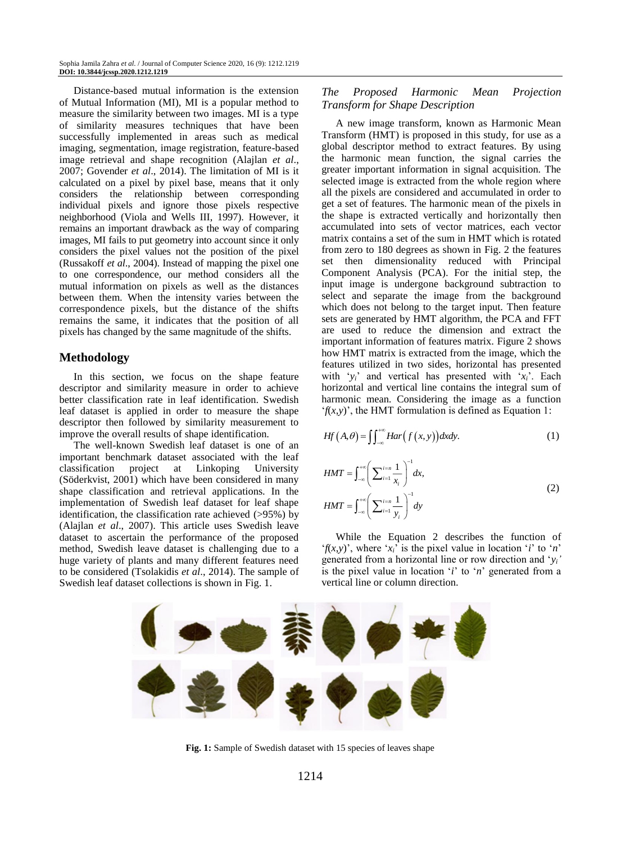Distance-based mutual information is the extension of Mutual Information (MI), MI is a popular method to measure the similarity between two images. MI is a type of similarity measures techniques that have been successfully implemented in areas such as medical imaging, segmentation, image registration, feature-based image retrieval and shape recognition (Alajlan *et al*., 2007; Govender *et al*., 2014). The limitation of MI is it calculated on a pixel by pixel base, means that it only considers the relationship between corresponding individual pixels and ignore those pixels respective neighborhood (Viola and Wells III, 1997). However, it remains an important drawback as the way of comparing images, MI fails to put geometry into account since it only considers the pixel values not the position of the pixel (Russakoff *et al*., 2004). Instead of mapping the pixel one to one correspondence, our method considers all the mutual information on pixels as well as the distances between them. When the intensity varies between the correspondence pixels, but the distance of the shifts remains the same, it indicates that the position of all pixels has changed by the same magnitude of the shifts.

## **Methodology**

In this section, we focus on the shape feature descriptor and similarity measure in order to achieve better classification rate in leaf identification. Swedish leaf dataset is applied in order to measure the shape descriptor then followed by similarity measurement to improve the overall results of shape identification.

The well-known Swedish leaf dataset is one of an important benchmark dataset associated with the leaf classification project at Linkoping University (Söderkvist, 2001) which have been considered in many shape classification and retrieval applications. In the implementation of Swedish leaf dataset for leaf shape identification, the classification rate achieved (>95%) by (Alajlan *et al*., 2007). This article uses Swedish leave dataset to ascertain the performance of the proposed method, Swedish leave dataset is challenging due to a huge variety of plants and many different features need to be considered (Tsolakidis *et al*., 2014). The sample of Swedish leaf dataset collections is shown in Fig. 1.

## *The Proposed Harmonic Mean Projection Transform for Shape Description*

A new image transform, known as Harmonic Mean Transform (HMT) is proposed in this study, for use as a global descriptor method to extract features. By using the harmonic mean function, the signal carries the greater important information in signal acquisition. The selected image is extracted from the whole region where all the pixels are considered and accumulated in order to get a set of features. The harmonic mean of the pixels in the shape is extracted vertically and horizontally then accumulated into sets of vector matrices, each vector matrix contains a set of the sum in HMT which is rotated from zero to 180 degrees as shown in Fig. 2 the features set then dimensionality reduced with Principal Component Analysis (PCA). For the initial step, the input image is undergone background subtraction to select and separate the image from the background which does not belong to the target input. Then feature sets are generated by HMT algorithm, the PCA and FFT are used to reduce the dimension and extract the important information of features matrix. Figure 2 shows how HMT matrix is extracted from the image, which the features utilized in two sides, horizontal has presented with ' $y_i$ ' and vertical has presented with ' $x_i$ '. Each horizontal and vertical line contains the integral sum of harmonic mean. Considering the image as a function '*f*(*x*,*y*)', the HMT formulation is defined as Equation 1:

$$
Hf(A, \theta) = \iint_{-\infty}^{\infty} Har(f(x, y)) dx dy.
$$
 (1)

$$
HMT = \int_{-\infty}^{+\infty} \left( \sum_{i=1}^{i=n} \frac{1}{x_i} \right)^{-1} dx,
$$
  

$$
HMT = \int_{-\infty}^{+\infty} \left( \sum_{i=1}^{i=n} \frac{1}{y_i} \right)^{-1} dy
$$
 (2)

While the Equation 2 describes the function of '*f*(*x*,*y*)', where ' $x_i$ ' is the pixel value in location '*i*' to '*n*' generated from a horizontal line or row direction and '*yi'* is the pixel value in location '*i*' to '*n*' generated from a vertical line or column direction.



**Fig. 1:** Sample of Swedish dataset with 15 species of leaves shape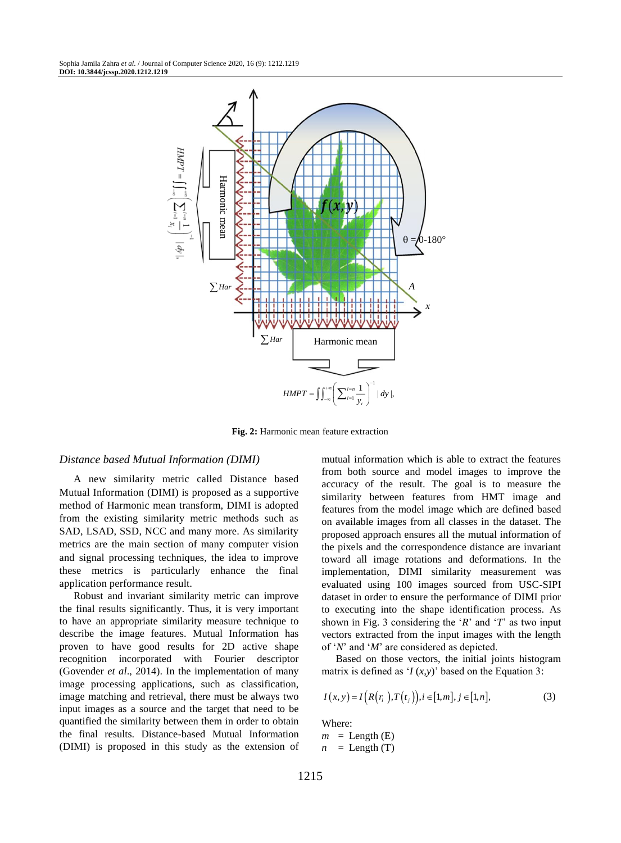

**Fig. 2:** Harmonic mean feature extraction

#### *Distance based Mutual Information (DIMI)*

A new similarity metric called Distance based Mutual Information (DIMI) is proposed as a supportive method of Harmonic mean transform, DIMI is adopted from the existing similarity metric methods such as SAD, LSAD, SSD, NCC and many more. As similarity metrics are the main section of many computer vision and signal processing techniques, the idea to improve these metrics is particularly enhance the final application performance result.

Robust and invariant similarity metric can improve the final results significantly. Thus, it is very important to have an appropriate similarity measure technique to describe the image features. Mutual Information has proven to have good results for 2D active shape recognition incorporated with Fourier descriptor (Govender *et al*., 2014). In the implementation of many image processing applications, such as classification, image matching and retrieval, there must be always two input images as a source and the target that need to be quantified the similarity between them in order to obtain the final results. Distance-based Mutual Information (DIMI) is proposed in this study as the extension of mutual information which is able to extract the features from both source and model images to improve the accuracy of the result. The goal is to measure the similarity between features from HMT image and features from the model image which are defined based on available images from all classes in the dataset. The proposed approach ensures all the mutual information of the pixels and the correspondence distance are invariant toward all image rotations and deformations. In the implementation, DIMI similarity measurement was evaluated using 100 images sourced from USC-SIPI dataset in order to ensure the performance of DIMI prior to executing into the shape identification process. As shown in Fig. 3 considering the '*R*' and '*T*' as two input vectors extracted from the input images with the length of '*N*' and '*M*' are considered as depicted.

Based on those vectors, the initial joints histogram matrix is defined as '*I* (*x,y*)' based on the Equation 3:

$$
I(x, y) = I(R(r_i), T(t_j)), i \in [1, m], j \in [1, n],
$$
\n(3)

Where:  $m =$  Length (E)  $n =$  Length (T)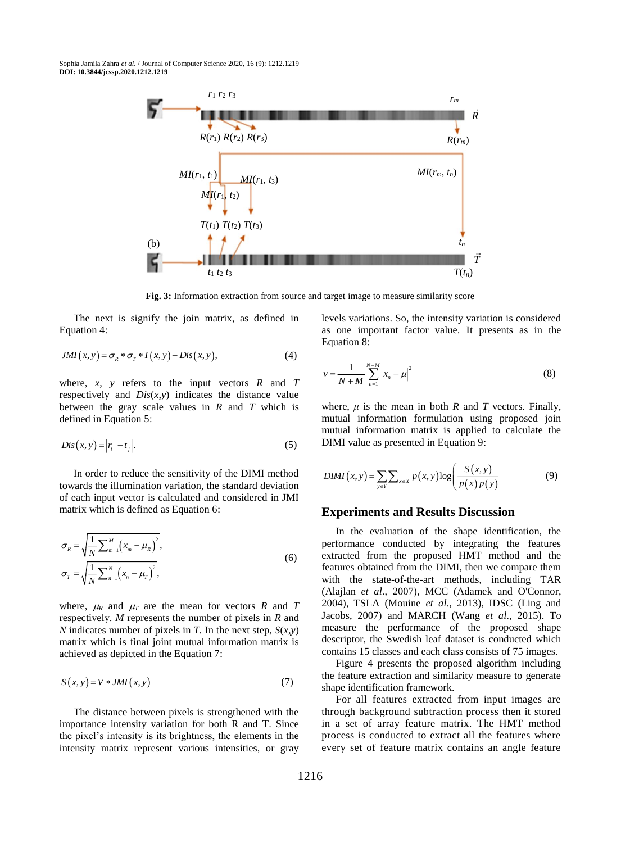

**Fig. 3:** Information extraction from source and target image to measure similarity score

The next is signify the join matrix, as defined in Equation 4:

$$
JMI(x, y) = \sigma_R * \sigma_T * I(x, y) - Dis(x, y),
$$
\n(4)

where,  $x$ ,  $y$  refers to the input vectors  $R$  and  $T$ respectively and  $Dis(x,y)$  indicates the distance value between the gray scale values in *R* and *T* which is defined in Equation 5:

$$
Dis(x, y) = |r_i - t_j|.
$$
\n<sup>(5)</sup>

In order to reduce the sensitivity of the DIMI method towards the illumination variation, the standard deviation of each input vector is calculated and considered in JMI matrix which is defined as Equation 6:

$$
\sigma_R = \sqrt{\frac{1}{N} \sum_{m=1}^{M} (x_m - \mu_R)^2},
$$
  
\n
$$
\sigma_T = \sqrt{\frac{1}{N} \sum_{n=1}^{N} (x_n - \mu_T)^2},
$$
\n(6)

where,  $\mu_R$  and  $\mu_T$  are the mean for vectors *R* and *T* respectively. *M* represents the number of pixels in *R* and *N* indicates number of pixels in *T*. In the next step,  $S(x, y)$ matrix which is final joint mutual information matrix is achieved as depicted in the Equation 7:

$$
S(x, y) = V * JMI(x, y)
$$
\n(7)

The distance between pixels is strengthened with the importance intensity variation for both R and T. Since the pixel's intensity is its brightness, the elements in the intensity matrix represent various intensities, or gray levels variations. So, the intensity variation is considered as one important factor value. It presents as in the Equation 8:

$$
v = \frac{1}{N+M} \sum_{n=1}^{N+M} |x_n - \mu|^2
$$
 (8)

where,  $\mu$  is the mean in both  $R$  and  $T$  vectors. Finally, mutual information formulation using proposed join mutual information matrix is applied to calculate the DIMI value as presented in Equation 9:

$$
DIMI(x, y) = \sum_{y \in Y} \sum_{x \in X} p(x, y) \log \left( \frac{S(x, y)}{p(x) p(y)} \right)
$$
(9)

#### **Experiments and Results Discussion**

In the evaluation of the shape identification, the performance conducted by integrating the features extracted from the proposed HMT method and the features obtained from the DIMI, then we compare them with the state-of-the-art methods, including TAR (Alajlan *et al*., 2007), MCC (Adamek and O'Connor, 2004), TSLA (Mouine *et al*., 2013), IDSC (Ling and Jacobs, 2007) and MARCH (Wang *et al*., 2015). To measure the performance of the proposed shape descriptor, the Swedish leaf dataset is conducted which contains 15 classes and each class consists of 75 images.

Figure 4 presents the proposed algorithm including the feature extraction and similarity measure to generate shape identification framework.

For all features extracted from input images are through background subtraction process then it stored in a set of array feature matrix. The HMT method process is conducted to extract all the features where every set of feature matrix contains an angle feature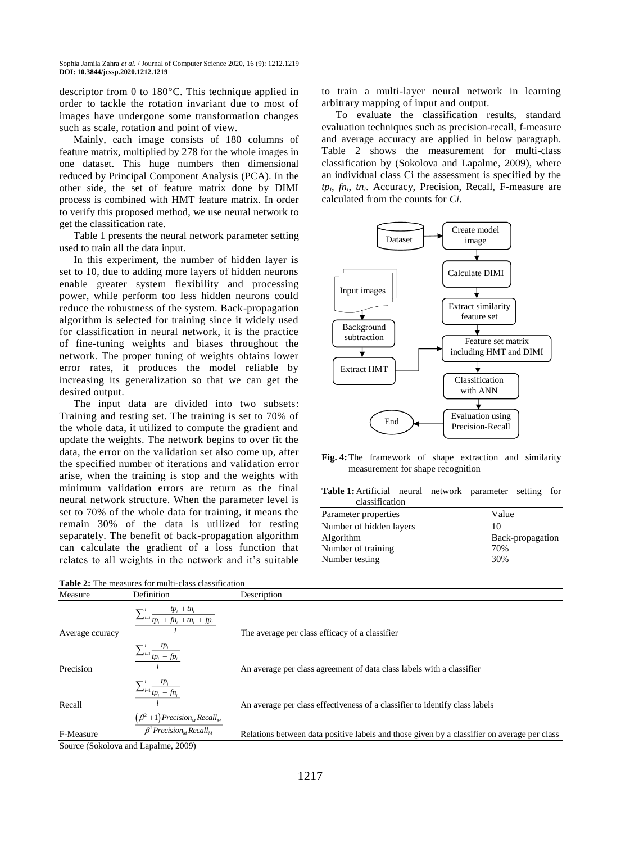descriptor from 0 to  $180^{\circ}$ C. This technique applied in order to tackle the rotation invariant due to most of images have undergone some transformation changes such as scale, rotation and point of view.

Mainly, each image consists of 180 columns of feature matrix, multiplied by 278 for the whole images in one dataset. This huge numbers then dimensional reduced by Principal Component Analysis (PCA). In the other side, the set of feature matrix done by DIMI process is combined with HMT feature matrix. In order to verify this proposed method, we use neural network to get the classification rate.

Table 1 presents the neural network parameter setting used to train all the data input.

In this experiment, the number of hidden layer is set to 10, due to adding more layers of hidden neurons enable greater system flexibility and processing power, while perform too less hidden neurons could reduce the robustness of the system. Back-propagation algorithm is selected for training since it widely used for classification in neural network, it is the practice of fine-tuning weights and biases throughout the network. The proper tuning of weights obtains lower error rates, it produces the model reliable by increasing its generalization so that we can get the desired output.

The input data are divided into two subsets: Training and testing set. The training is set to 70% of the whole data, it utilized to compute the gradient and update the weights. The network begins to over fit the data, the error on the validation set also come up, after the specified number of iterations and validation error arise, when the training is stop and the weights with minimum validation errors are return as the final neural network structure. When the parameter level is set to 70% of the whole data for training, it means the remain 30% of the data is utilized for testing separately. The benefit of back-propagation algorithm can calculate the gradient of a loss function that relates to all weights in the network and it's suitable

|  |  |  | <b>Table 2:</b> The measures for multi-class classification |  |
|--|--|--|-------------------------------------------------------------|--|
|--|--|--|-------------------------------------------------------------|--|

to train a multi-layer neural network in learning arbitrary mapping of input and output.

To evaluate the classification results, standard evaluation techniques such as precision-recall, f-measure and average accuracy are applied in below paragraph. Table 2 shows the measurement for multi-class classification by (Sokolova and Lapalme, 2009), where an individual class Ci the assessment is specified by the *tpi*, *fni*, *tni*. Accuracy, Precision, Recall, F-measure are calculated from the counts for *Ci*.



**Fig. 4:**The framework of shape extraction and similarity measurement for shape recognition

**Table 1:**Artificial neural network parameter setting for classification

| Parameter properties    | Value            |
|-------------------------|------------------|
| Number of hidden layers | 10               |
| Algorithm               | Back-propagation |
| Number of training      | 70%              |
| Number testing          | 30%              |

| Measure         | Definition                                                              | Description                                                                                 |
|-----------------|-------------------------------------------------------------------------|---------------------------------------------------------------------------------------------|
|                 | $\sum_{i=1}^l \frac{tp_i + tn_i}{tp_i + fn_i + tp_i + fp_i}$            |                                                                                             |
| Average couracy |                                                                         | The average per class efficacy of a classifier                                              |
|                 | $\frac{\sum_{i=1}^l \frac{tp_i}{tp_i + fp_i}}{tp_i + fp_i}$             |                                                                                             |
| Precision       |                                                                         | An average per class agreement of data class labels with a classifier                       |
|                 | $\frac{\sum_{i=1}^l\frac{tp_i}{tp_i+fn_i}}{P_i+fn_i}$                   |                                                                                             |
| Recall          |                                                                         | An average per class effectiveness of a classifier to identify class labels                 |
|                 | $\frac{(\beta^2+1) Precision_M Recall_M}{\beta^2 Precision_M Recall_M}$ |                                                                                             |
| F-Measure       |                                                                         | Relations between data positive labels and those given by a classifier on average per class |
|                 | Source (Sokolova and Lanalme, 2009)                                     |                                                                                             |

Source (Sokolova and Lapalme, 2009)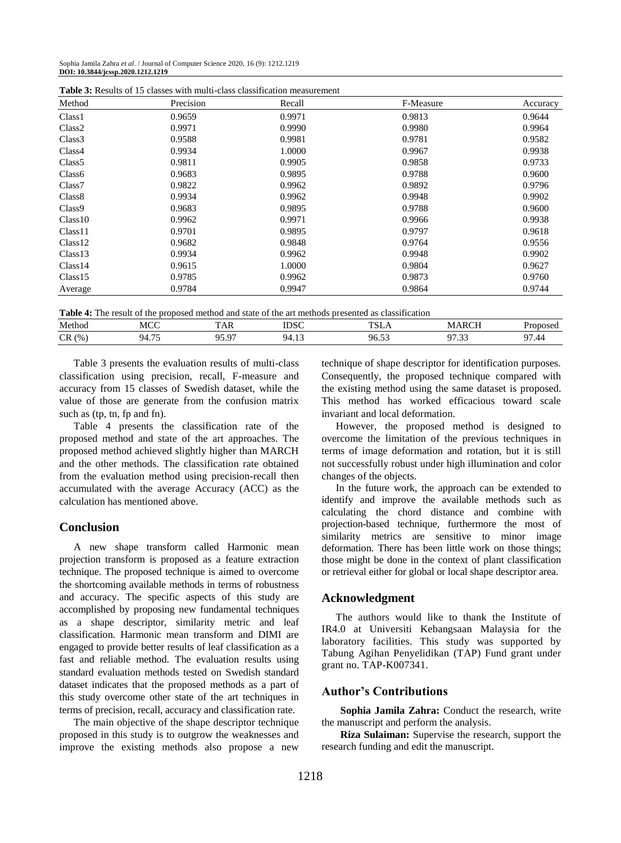Sophia Jamila Zahra *et al*. / Journal of Computer Science 2020, 16 (9): 1212.1219 **DOI: 10.3844/jcssp.2020.1212.1219**

| Method             | Precision | Recall | F-Measure | Accuracy |
|--------------------|-----------|--------|-----------|----------|
| Class <sub>1</sub> | 0.9659    | 0.9971 | 0.9813    | 0.9644   |
| Class <sub>2</sub> | 0.9971    | 0.9990 | 0.9980    | 0.9964   |
| Class <sub>3</sub> | 0.9588    | 0.9981 | 0.9781    | 0.9582   |
| Class4             | 0.9934    | 1.0000 | 0.9967    | 0.9938   |
| Class <sub>5</sub> | 0.9811    | 0.9905 | 0.9858    | 0.9733   |
| Class <sub>6</sub> | 0.9683    | 0.9895 | 0.9788    | 0.9600   |
| Class <sub>7</sub> | 0.9822    | 0.9962 | 0.9892    | 0.9796   |
| Class <sub>8</sub> | 0.9934    | 0.9962 | 0.9948    | 0.9902   |
| Class <sub>9</sub> | 0.9683    | 0.9895 | 0.9788    | 0.9600   |
| Class10            | 0.9962    | 0.9971 | 0.9966    | 0.9938   |
| Class11            | 0.9701    | 0.9895 | 0.9797    | 0.9618   |
| Class12            | 0.9682    | 0.9848 | 0.9764    | 0.9556   |
| Class13            | 0.9934    | 0.9962 | 0.9948    | 0.9902   |
| Class14            | 0.9615    | 1.0000 | 0.9804    | 0.9627   |
| Class15            | 0.9785    | 0.9962 | 0.9873    | 0.9760   |
| Average            | 0.9784    | 0.9947 | 0.9864    | 0.9744   |

**Table 3:** Results of 15 classes with multi-class classification measurement

|  |  |  |  | Table 4: The result of the proposed method and state of the art methods presented as classification |  |
|--|--|--|--|-----------------------------------------------------------------------------------------------------|--|
|  |  |  |  |                                                                                                     |  |

| .      |                        |                            | .            | .                     |        |               |
|--------|------------------------|----------------------------|--------------|-----------------------|--------|---------------|
| Method | MCC                    | 1 A.N                      | ראמת<br>IDSC | T <sub>0</sub>        |        | റാമറ<br>. OCL |
| CR(%)  | $- -$<br>QΔ<br>$\cdot$ | $\cdot$ $\alpha$<br>m<br>. | $\sim$<br>ᅲᆞ | $\sim$<br>۵٢<br>ر .ر. | ن بی ا | 7.44          |
|        |                        |                            |              |                       |        |               |

Table 3 presents the evaluation results of multi-class classification using precision, recall, F-measure and accuracy from 15 classes of Swedish dataset, while the value of those are generate from the confusion matrix such as (tp, tn, fp and fn).

Table 4 presents the classification rate of the proposed method and state of the art approaches. The proposed method achieved slightly higher than MARCH and the other methods. The classification rate obtained from the evaluation method using precision-recall then accumulated with the average Accuracy (ACC) as the calculation has mentioned above.

## **Conclusion**

A new shape transform called Harmonic mean projection transform is proposed as a feature extraction technique. The proposed technique is aimed to overcome the shortcoming available methods in terms of robustness and accuracy. The specific aspects of this study are accomplished by proposing new fundamental techniques as a shape descriptor, similarity metric and leaf classification. Harmonic mean transform and DIMI are engaged to provide better results of leaf classification as a fast and reliable method. The evaluation results using standard evaluation methods tested on Swedish standard dataset indicates that the proposed methods as a part of this study overcome other state of the art techniques in terms of precision, recall, accuracy and classification rate.

The main objective of the shape descriptor technique proposed in this study is to outgrow the weaknesses and improve the existing methods also propose a new technique of shape descriptor for identification purposes. Consequently, the proposed technique compared with the existing method using the same dataset is proposed. This method has worked efficacious toward scale invariant and local deformation.

However, the proposed method is designed to overcome the limitation of the previous techniques in terms of image deformation and rotation, but it is still not successfully robust under high illumination and color changes of the objects.

In the future work, the approach can be extended to identify and improve the available methods such as calculating the chord distance and combine with projection-based technique, furthermore the most of similarity metrics are sensitive to minor image deformation. There has been little work on those things; those might be done in the context of plant classification or retrieval either for global or local shape descriptor area.

#### **Acknowledgment**

The authors would like to thank the Institute of IR4.0 at Universiti Kebangsaan Malaysia for the laboratory facilities. This study was supported by Tabung Agihan Penyelidikan (TAP) Fund grant under grant no. TAP-K007341.

#### **Author's Contributions**

**Sophia Jamila Zahra:** Conduct the research, write the manuscript and perform the analysis.

**Riza Sulaiman:** Supervise the research, support the research funding and edit the manuscript.